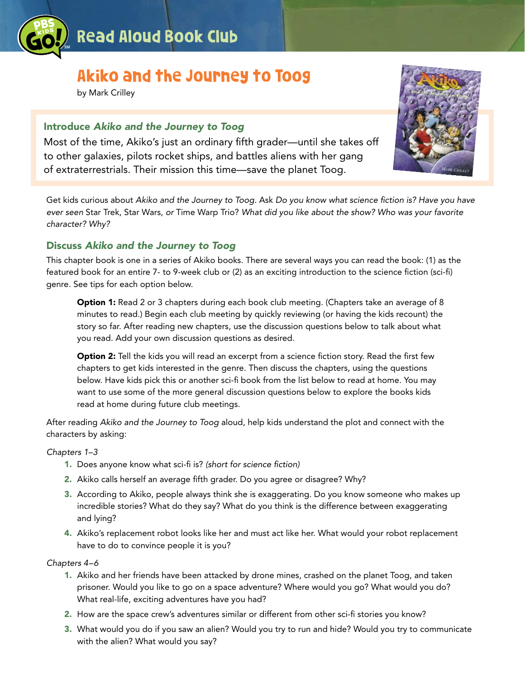

# Akiko and the Journey to Toog

by Mark Crilley

# Introduce *Akiko and the Journey to Toog*

Most of the time, Akiko's just an ordinary fifth grader—until she takes off to other galaxies, pilots rocket ships, and battles aliens with her gang of extraterrestrials. Their mission this time—save the planet Toog.

Get kids curious about *Akiko and the Journey to Toog.* Ask *Do you know what science fiction is? Have you have ever seen* Star Trek, Star Wars, *or* Time Warp Trio? *What did you like about the show? Who was your favorite character? Why?*

# Discuss *Akiko and the Journey to Toog*

This chapter book is one in a series of Akiko books. There are several ways you can read the book: (1) as the featured book for an entire 7- to 9-week club or (2) as an exciting introduction to the science fiction (sci-fi) genre. See tips for each option below.

**Option 1:** Read 2 or 3 chapters during each book club meeting. (Chapters take an average of 8 minutes to read.) Begin each club meeting by quickly reviewing (or having the kids recount) the story so far. After reading new chapters, use the discussion questions below to talk about what you read. Add your own discussion questions as desired.

**Option 2:** Tell the kids you will read an excerpt from a science fiction story. Read the first few chapters to get kids interested in the genre. Then discuss the chapters, using the questions below. Have kids pick this or another sci-fi book from the list below to read at home. You may want to use some of the more general discussion questions below to explore the books kids read at home during future club meetings.

After reading *Akiko and the Journey to Toog* aloud, help kids understand the plot and connect with the characters by asking:

# *Chapters 1–3*

- 1. Does anyone know what sci-fi is? *(short for science fiction)*
- 2. Akiko calls herself an average fifth grader. Do you agree or disagree? Why?
- 3. According to Akiko, people always think she is exaggerating. Do you know someone who makes up incredible stories? What do they say? What do you think is the difference between exaggerating and lying?
- 4. Akiko's replacement robot looks like her and must act like her. What would your robot replacement have to do to convince people it is you?

# *Chapters 4–6*

- 1. Akiko and her friends have been attacked by drone mines, crashed on the planet Toog, and taken prisoner. Would you like to go on a space adventure? Where would you go? What would you do? What real-life, exciting adventures have you had?
- 2. How are the space crew's adventures similar or different from other sci-fi stories you know?
- 3. What would you do if you saw an alien? Would you try to run and hide? Would you try to communicate with the alien? What would you say?

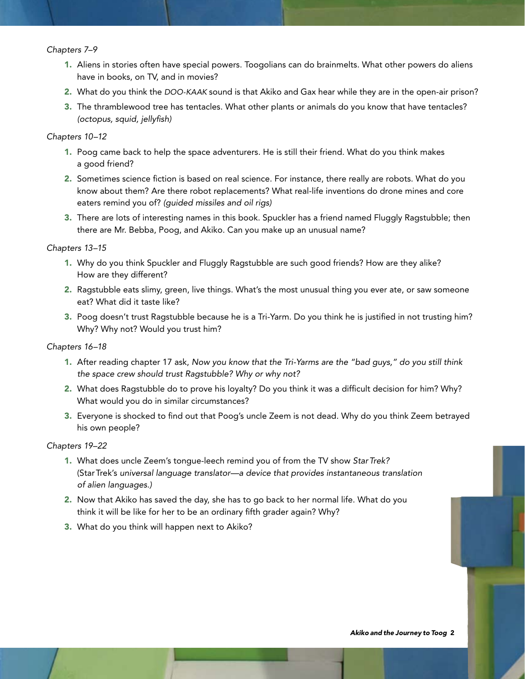#### *Chapters 7–9*

- 1. Aliens in stories often have special powers. Toogolians can do brainmelts*.* What other powers do aliens have in books, on TV, and in movies?
- 2. What do you think the *DOO-KAAK* sound is that Akiko and Gax hear while they are in the open-air prison?
- 3. The thramblewood tree has tentacles. What other plants or animals do you know that have tentacles? *(octopus, squid, jellyfish)*

#### *Chapters 10–12*

- 1. Poog came back to help the space adventurers. He is still their friend. What do you think makes a good friend?
- 2. Sometimes science fiction is based on real science. For instance, there really are robots. What do you know about them? Are there robot replacements? What real-life inventions do drone mines and core eaters remind you of? *(guided missiles and oil rigs)*
- 3. There are lots of interesting names in this book. Spuckler has a friend named Fluggly Ragstubble; then there are Mr. Bebba, Poog, and Akiko. Can you make up an unusual name?

#### *Chapters 13–15*

- 1. Why do you think Spuckler and Fluggly Ragstubble are such good friends? How are they alike? How are they different?
- 2. Ragstubble eats slimy, green, live things. What's the most unusual thing you ever ate, or saw someone eat? What did it taste like?
- 3. Poog doesn't trust Ragstubble because he is a Tri-Yarm. Do you think he is justified in not trusting him? Why? Why not? Would you trust him?

#### *Chapters 16–18*

- 1. After reading chapter 17 ask, *Now you know that the Tri-Yarms are the "bad guys," do you still think the space crew should trust Ragstubble? Why or why not?*
- 2. What does Ragstubble do to prove his loyalty? Do you think it was a difficult decision for him? Why? What would you do in similar circumstances?
- 3. Everyone is shocked to find out that Poog's uncle Zeem is not dead. Why do you think Zeem betrayed his own people?

#### *Chapters 19–22*

- 1. What does uncle Zeem's tongue-leech remind you of from the TV show *StarTrek?* (StarTrek's *universal language translator—a device that provides instantaneous translation of alien languages.)*
- 2. Now that Akiko has saved the day, she has to go back to her normal life. What do you think it will be like for her to be an ordinary fifth grader again? Why?
- 3. What do you think will happen next to Akiko?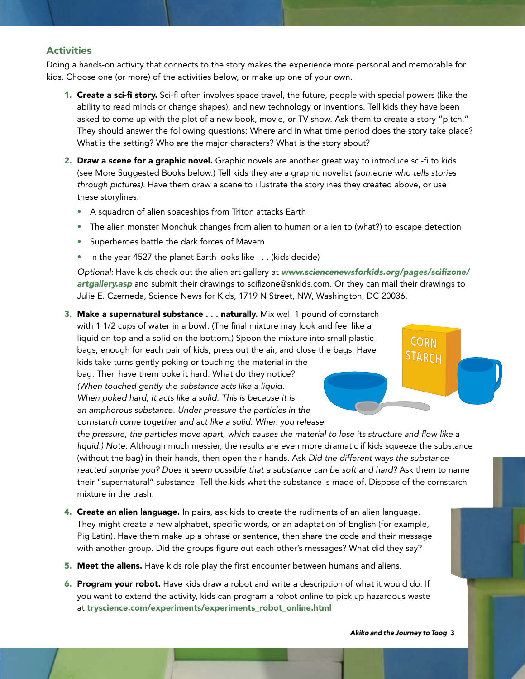# **Activities**

Doing a hands-on activity that connects to the story makes the experience more personal and memorable for kids. Choose one (or more) of the activities below, or make up one of your own.

- 1. Create a sci-fi story. Sci-fi often involves space travel, the future, people with special powers (like the ability to read minds or change shapes), and new technology or inventions. Tell kids they have been asked to come up with the plot of a new book, movie, or TV show. Ask them to create a story "pitch." They should answer the following questions: Where and in what time period does the story take place? What is the setting? Who are the major characters? What is the story about?
- 2. Draw a scene for a graphic novel. Graphic novels are another great way to introduce sci-fi to kids (see More Suggested Books below.) Tell kids they are a graphic novelist *(someone who tells stories through pictures)*. Have them draw a scene to illustrate the storylines they created above, or use these storylines:
	- A squadron of alien spaceships from Triton attacks Earth
	- The alien monster Monchuk changes from alien to human or alien to (what?) to escape detection
	- Superheroes battle the dark forces of Mavern
	- In the year 4527 the planet Earth looks like . . . (kids decide)

*Optional:* Have kids check out the alien art gallery at *www.sciencenewsforkids.org/pages/scifizone/ artgallery.asp* and submit their drawings to scifizone@snkids.com. Or they can mail their drawings to Julie E. Czerneda, Science News for Kids, 1719 N Street, NW, Washington, DC 20036.

**3. Make a supernatural substance ... naturally.** Mix well 1 pound of cornstarch with 1 1/2 cups of water in a bowl. (The final mixture may look and feel like a liquid on top and a solid on the bottom.) Spoon the mixture into small plastic bags, enough for each pair of kids, press out the air, and close the bags. Have kids take turns gently poking or touching the material in the bag. Then have them poke it hard. What do they notice? *(When touched gently the substance acts like a liquid. When poked hard, it acts like a solid. This is because it is an amphorous substance. Under pressure the particles in the cornstarch come together and act like a solid. When you release* 

*the pressure, the particles move apart, which causes the material to lose its structure and flow like a liquid.) Note:* Although much messier, the results are even more dramatic if kids squeeze the substance (without the bag) in their hands, then open their hands. Ask *Did the different ways the substance reacted surprise you? Does it seem possible that a substance can be soft and hard?* Ask them to name their "supernatural" substance. Tell the kids what the substance is made of. Dispose of the cornstarch mixture in the trash.

- 4. Create an alien language. In pairs, ask kids to create the rudiments of an alien language. They might create a new alphabet, specific words, or an adaptation of English (for example, Pig Latin). Have them make up a phrase or sentence, then share the code and their message with another group. Did the groups figure out each other's messages? What did they say?
- 5. Meet the aliens. Have kids role play the first encounter between humans and aliens.
- 6. Program your robot. Have kids draw a robot and write a description of what it would do. If you want to extend the activity, kids can program a robot online to pick up hazardous waste at tryscience.com/experiments/experiments\_robot\_online.html

*Akiko and the Journey to Toog*

**CORN STARCH**